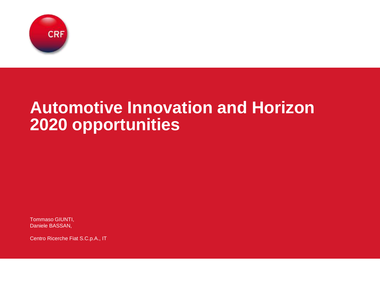

# **Automotive Innovation and Horizon 2020 opportunities**

Tommaso GIUNTI, Daniele BASSAN,

Centro Ricerche Fiat S.C.p.A., IT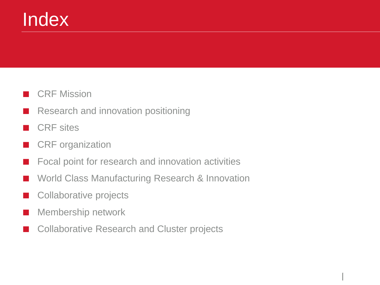# Index

### **CRF Mission**

- Research and innovation positioning
- **CRF** sites
- CRF organization
- Focal point for research and innovation activities
- World Class Manufacturing Research & Innovation
- Collaborative projects
- Membership network
- Collaborative Research and Cluster projects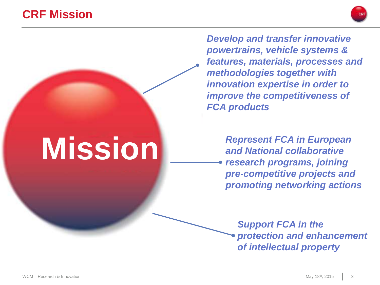### **CRF Mission**



*Develop and transfer innovative powertrains, vehicle systems & features, materials, processes and methodologies together with innovation expertise in order to improve the competitiveness of FCA products*

**Mission** *Represent FCA in European and National collaborative and National collaborative research programs, joining pre-competitive projects and promoting networking actions*

> *Support FCA in the protection and enhancement of intellectual property*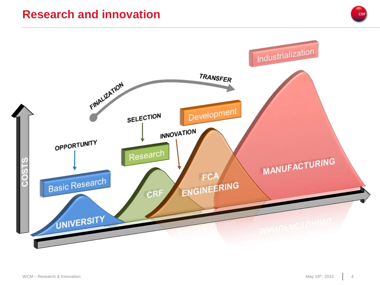### **Research and innovation**

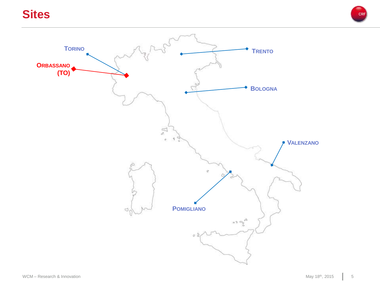### **Sites**



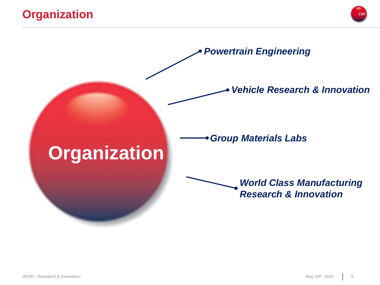### **Organization**



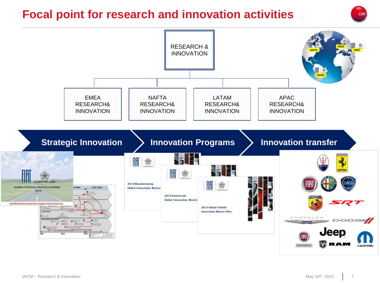### **Focal point for research and innovation activities**



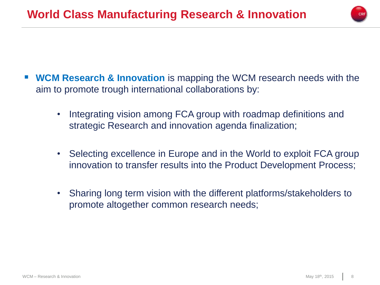

- **WCM Research & Innovation** is mapping the WCM research needs with the aim to promote trough international collaborations by:
	- Integrating vision among FCA group with roadmap definitions and strategic Research and innovation agenda finalization;
	- Selecting excellence in Europe and in the World to exploit FCA group innovation to transfer results into the Product Development Process;
	- Sharing long term vision with the different platforms/stakeholders to promote altogether common research needs;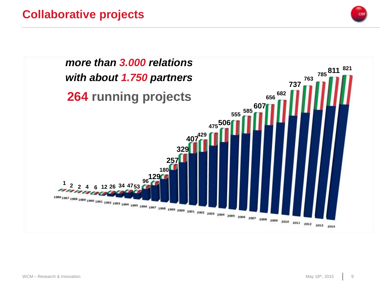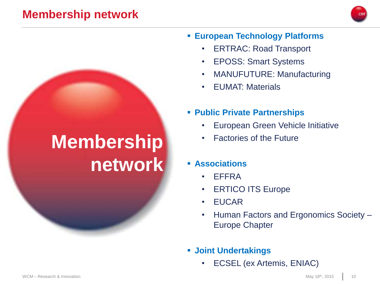### **Membership network**



#### **European Technology Platforms**

- ERTRAC: Road Transport
- EPOSS: Smart Systems
- MANUFUTURE: Manufacturing
- EUMAT: Materials
- **Public Private Partnerships**
	- European Green Vehicle Initiative
	- Factories of the Future

#### **Associations**

- EFFRA
- ERTICO ITS Europe
- EUCAR
- Human Factors and Ergonomics Society Europe Chapter
- **Joint Undertakings**
	- ECSEL (ex Artemis, ENIAC)

# **Membership network**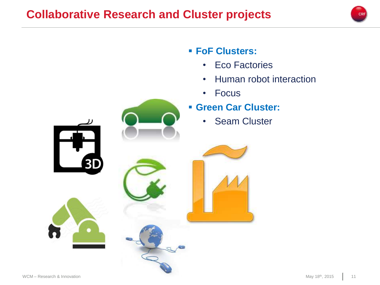

### **FoF Clusters:**

- Eco Factories
- Human robot interaction
- Focus

### **Green Car Cluster:**

• Seam Cluster





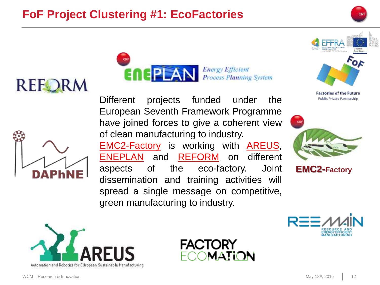## **FoF Project Clustering #1: EcoFactories**







Different projects funded under the European Seventh Framework Programme have joined forces to give a coherent view of clean manufacturing to industry. EMC2-Factory is working with AREUS, ENEPLAN and REFORM on different aspects of the eco-factory. Joint dissemination and training activities will spread a single message on competitive, green manufacturing to industry.



**Factories of the Future** Public Private Partnership



**EMC2-Factory**





**Energy Efficient** 

**Process Planning System** 

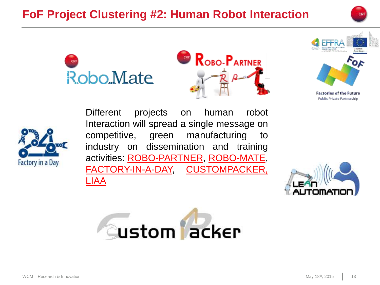## **FoF Project Clustering #2: Human Robot Interaction**









Public Private Partnership



Different projects on human robot Interaction will spread a single message on competitive, green manufacturing to industry on dissemination and training activities: ROBO-PARTNER, ROBO-MATE, FACTORY-IN-A-DAY, CUSTOMPACKER, LIAA



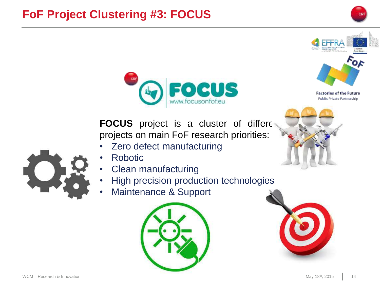### **FoF Project Clustering #3: FOCUS**





FOCUS project is a cluster of different projects on main FoF research priorities:

- Zero defect manufacturing
- Robotic
- Clean manufacturing
- High precision production technologies
- Maintenance & Support





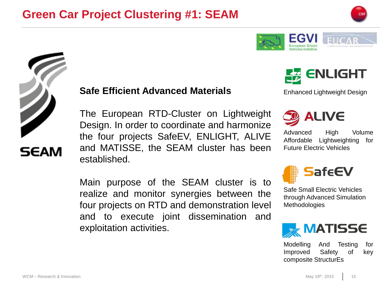



The European RTD-Cluster on Lightweight Design. In order to coordinate and harmonize the four projects SafeEV, ENLIGHT, ALIVE and MATISSE, the SEAM cluster has been established.

Main purpose of the SEAM cluster is to realize and monitor synergies between the four projects on RTD and demonstration level and to execute joint dissemination and exploitation activities.



**ENLIGHT** 



Advanced High Volume Affordable Lightweighting for Future Electric Vehicles



Safe Small Electric Vehicles through Advanced Simulation **Methodologies** 



Modelling And Testing for Improved Safety of key composite StructurEs



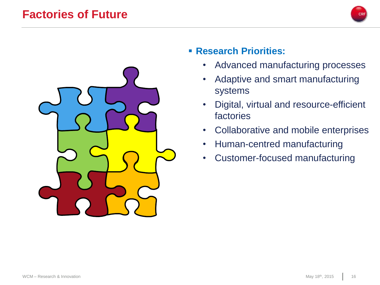### **Factories of Future**





- **Research Priorities:**
	- Advanced manufacturing processes
	- Adaptive and smart manufacturing systems
	- Digital, virtual and resource-efficient factories
	- Collaborative and mobile enterprises
	- Human-centred manufacturing
	- Customer-focused manufacturing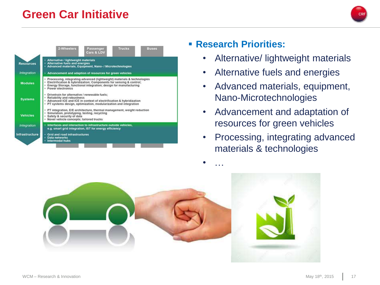### **Green Car Initiative**



#### **Research Priorities:**

- Alternative/ lightweight materials
- Alternative fuels and energies
- Advanced materials, equipment, Nano-Microtechnologies
- Advancement and adaptation of resources for green vehicles
- Processing, integrating advanced materials & technologies



• …